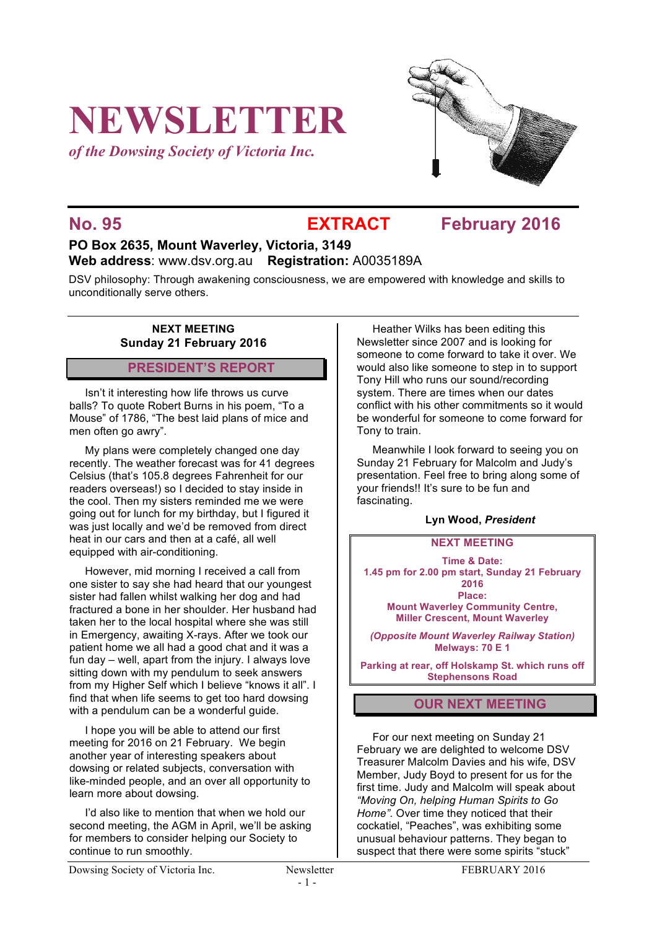# **NEWSLETTER**

*of the Dowsing Society of Victoria Inc.*



### **No. 95 EXTRACT February 2016**

### **PO Box 2635, Mount Waverley, Victoria, 3149 Web address**: www.dsv.org.au **Registration:** A0035189A

DSV philosophy: Through awakening consciousness, we are empowered with knowledge and skills to unconditionally serve others.

#### **NEXT MEETING Sunday 21 February 2016**

#### **PRESIDENT'S REPORT**

Isn't it interesting how life throws us curve balls? To quote Robert Burns in his poem, "To a Mouse" of 1786, "The best laid plans of mice and men often go awry".

My plans were completely changed one day recently. The weather forecast was for 41 degrees Celsius (that's 105.8 degrees Fahrenheit for our readers overseas!) so I decided to stay inside in the cool. Then my sisters reminded me we were going out for lunch for my birthday, but I figured it was just locally and we'd be removed from direct heat in our cars and then at a café, all well equipped with air-conditioning.

However, mid morning I received a call from one sister to say she had heard that our youngest sister had fallen whilst walking her dog and had fractured a bone in her shoulder. Her husband had taken her to the local hospital where she was still in Emergency, awaiting X-rays. After we took our patient home we all had a good chat and it was a fun day – well, apart from the injury. I always love sitting down with my pendulum to seek answers from my Higher Self which I believe "knows it all". I find that when life seems to get too hard dowsing with a pendulum can be a wonderful guide.

I hope you will be able to attend our first meeting for 2016 on 21 February. We begin another year of interesting speakers about dowsing or related subjects, conversation with like-minded people, and an over all opportunity to learn more about dowsing.

I'd also like to mention that when we hold our second meeting, the AGM in April, we'll be asking for members to consider helping our Society to continue to run smoothly.

Heather Wilks has been editing this Newsletter since 2007 and is looking for someone to come forward to take it over. We would also like someone to step in to support Tony Hill who runs our sound/recording system. There are times when our dates conflict with his other commitments so it would be wonderful for someone to come forward for Tony to train.

Meanwhile I look forward to seeing you on Sunday 21 February for Malcolm and Judy's presentation. Feel free to bring along some of your friends!! It's sure to be fun and fascinating.

#### **Lyn Wood,** *President*

#### **NEXT MEETING**

**Time & Date: 1.45 pm for 2.00 pm start, Sunday 21 February 2016 Place: Mount Waverley Community Centre, Miller Crescent, Mount Waverley**

*(Opposite Mount Waverley Railway Station)* **Melways: 70 E 1**

**Parking at rear, off Holskamp St. which runs off Stephensons Road**

#### **OUR NEXT MEETING**

For our next meeting on Sunday 21 February we are delighted to welcome DSV Treasurer Malcolm Davies and his wife, DSV Member, Judy Boyd to present for us for the first time. Judy and Malcolm will speak about *"Moving On, helping Human Spirits to Go Home".* Over time they noticed that their cockatiel, "Peaches", was exhibiting some unusual behaviour patterns. They began to suspect that there were some spirits "stuck"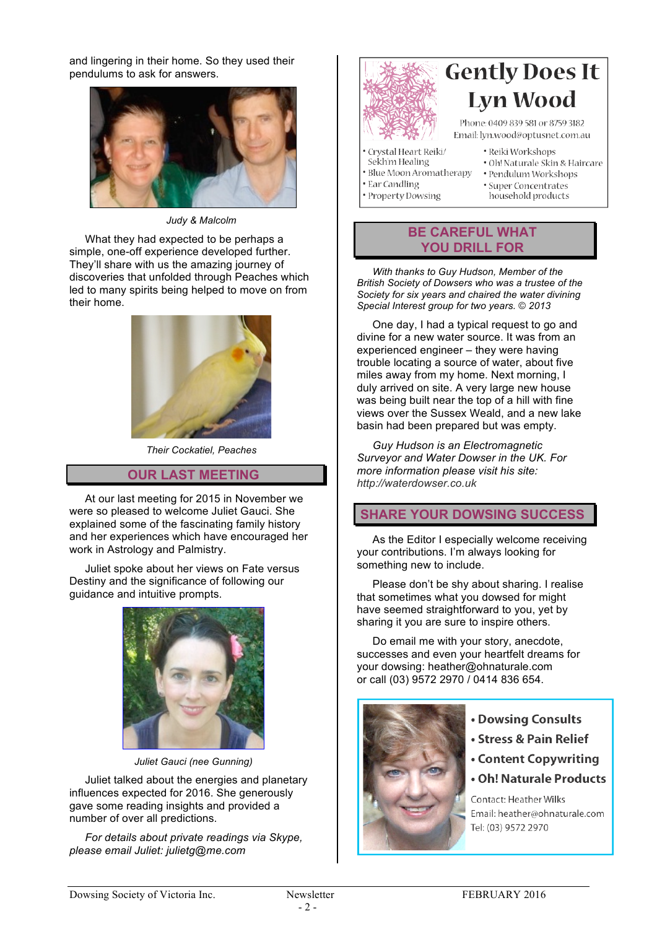and lingering in their home. So they used their pendulums to ask for answers.



*Judy & Malcolm*

What they had expected to be perhaps a simple, one-off experience developed further. They'll share with us the amazing journey of discoveries that unfolded through Peaches which led to many spirits being helped to move on from their home.



*Their Cockatiel, Peaches*

#### **OUR LAST MEETING**

At our last meeting for 2015 in November we were so pleased to welcome Juliet Gauci. She explained some of the fascinating family history and her experiences which have encouraged her work in Astrology and Palmistry.

Juliet spoke about her views on Fate versus Destiny and the significance of following our guidance and intuitive prompts.



*Juliet Gauci (nee Gunning)*

Juliet talked about the energies and planetary influences expected for 2016. She generously gave some reading insights and provided a number of over all predictions.

*For details about private readings via Skype, please email Juliet: julietg@me.com*



## **Gently Does It Lyn Wood**

Phone: 0409 839 581 or 8759 3182 Email: lyn.wood@optusnet.com.au

· Reiki Workshops

- Crystal Heart Reiki/
	- Sekh'm Healing
- · Blue Moon Aromatherapy
- Ear Candling · Property Dowsing
- · Pendulum Workshops · Super Concentrates

· Oh! Naturale Skin & Haircare

household products

#### **BE CAREFUL WHAT YOU DRILL FOR**

*With thanks to Guy Hudson, Member of the British Society of Dowsers who was a trustee of the Society for six years and chaired the water divining Special Interest group for two years.* © *2013* 

One day, I had a typical request to go and divine for a new water source. It was from an experienced engineer – they were having trouble locating a source of water, about five miles away from my home. Next morning, I duly arrived on site. A very large new house was being built near the top of a hill with fine views over the Sussex Weald, and a new lake basin had been prepared but was empty.

*Guy Hudson is an Electromagnetic Surveyor and Water Dowser in the UK. For more information please visit his site: http://waterdowser.co.uk*

#### **SHARE YOUR DOWSING SUCCESS**

As the Editor I especially welcome receiving your contributions. I'm always looking for something new to include.

Please don't be shy about sharing. I realise that sometimes what you dowsed for might have seemed straightforward to you, yet by sharing it you are sure to inspire others.

Do email me with your story, anecdote, successes and even your heartfelt dreams for your dowsing: heather@ohnaturale.com or call (03) 9572 2970 / 0414 836 654.



- Dowsing Consults
- Stress & Pain Relief
- Content Copywriting
- . Oh! Naturale Products

Contact: Heather Wilks Email: heather@ohnaturale.com Tel: (03) 9572 2970